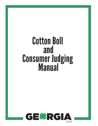# **Cotton Boll** and **Consumer Judging<br>Manual**

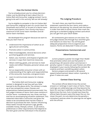### **How the Contest Works**

 You've already proven you're a sharp decisionmaker, just by deciding to learn about the 4-H Cotton Boll and Consumer Judging contest! You're going to do well in this activity. We can tell already!

 You're eligible to compete in the 4-H Cotton Boll and Consumer Judging as part of a Junior team for Cloverleafs and Juniors, or as part of a Senior team for Senior participants. Your county may have a maximum of 20 Junior team members and 20 Senior team members.

 We developed this program because we want to help you learn how to:

- Understand the importance of cotton as an agricultural commodity.
- Promote cotton in communities.
- Make knowledgeable, rational decisions when purchasing goods and services.
- Select, use, maintain, and dispose of goods and services in ways that maximize resources.
- Obtain clothing, goods, and services to meet needs and reflect lifestyles, personal values, and goals.
- Act as responsible consumer-citizen with an understanding of the rights and responsibilities of the consumer, business, and government.
- Learn to communicate reasons for choices made.

The Cotton Boll and Consumer Judging contest is designed to see how well you have learned to do the above skills. The contest is made up of two competition areas: Classes and presentations (advertisements/commercials). You will judge 4 classes of items. Each class contains 4 similar items- numbered one, two, three, and fourand has an accompanying situation statement. This statement describes a consumer and gives the needs to be considered when he/she makes a decision to purchase the item. Factors influencing these needs include the person's age, gender, available money, lifestyle, school, or job status, preferences or other requirements that depend on the item given and the individual in the situation.

### **The Judging Procedure**

For each class, you read the situation statement, examine the four items, and make a decision on the placing. You should rank the items in order from best to worst choice; then mark the placing on a standard judging contest card which you can get from your adult leader.

 All contestants give reasons on one class. You will judge classes one through four and then give oral reasons on class four. You will be given adequate preparation time to organize your reasons. Points are deducted if notes are used.

### **Presentations: Commercials and**

### **Advertisements**

 Juniors prepare a poster (no larger than 14x22) that promotes cotton and use that poster in presenting a 30-second cotton commercial. A penalty is given if notes are used. Posters are often displayed in your county following the contest. Be creative and learn something about cotton.

 Seniors prepare and present a 90 second speech/advertisement about cotton. A penalty is given if notes are used.

### **Contest Class Scoring**

 The contest official determines the correct answers or rankings in each class of items. These rankings are called placings and they become the basis for scoring. In addition to placing, the official determines the cuts. Cuts include how close the official feels the pairs were (the lower the cut, the closer the pair), so cuts determine the penalty a contestant receives when his placings do not agree with the official.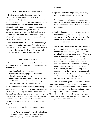### **How Consumers Make Decisions**

 Decisions; we make them every day. Major decisions, such as which college to attend, may have longer lasting effects than minor decisions, such as what color coat to buy. Some decisions are made hastily while others are thought out and planned step-by-step. It is important to make the right decision and learning how to be a qualified consumer judge will help you. Listing all options, viewing the facts objectively, and determining which option is best for your situation is what it takes to be a smart consumer.

 We've compiled this manual in order to help you better understand the process of decision making and how to make the wisest decision. Let's begin by looking at the basics, the driving factor behind consumer decisions, needs versus wants.

### **Needs Versus Wants**

Needs should be your first priority when making a decision. There are basic human needs essential to each of us:

- Survival: food, clothing, shelter
- Safety and Security: physical, economic
- Social: a sense of belonging
- Self-Esteem: sense of self-respect, worthiness
- Fulfillment: use of talents and creativity; meeting goals through your own efforts.

More often than not, however, many of the daily decisions we make are made on our wants/desires instead of considering our needs. There are several factors that influence our wants and the lifestyle we wish to live. These factors do not consider the basic human needs and instead result in our personal preferences. These factors behind why consumers buy are:

- Values: The ideas that are important to us.
- Goals: The aims we set for ourselves. Goals can be long-term (3-5 years or longer), medium term (1-4 years), or short-term goals (3- 6

months).

- Age and Gender: Your age and gender may influence interests and preferences.
- Peer Pressure: Peer Pressure increases the need for self-esteem and the desire to belong. Purchasing the latest trend often fulfills the want to fit in.
- Family Influence: Preferences often develop as a result of family heritage and opinions of family members. These preferences are often beneficial because they are often based on previous experiences.
- Advertising: Decisions are greatly influenced by ads which seem to meet your own needs and desires. Some are image builders. These are ads which use famous movie or TV stars to endorse products. When you buy those products, you feel better about yourself because a certain famous person used it. Some use association with famous people, such as sports stars. For instance, if you eat a certain cereal, you'll become strong like a popular athlete. Some build on snob appeal," where only the best will do for you. Others use the down-home strategy, appealing to a natural lifestyle, no-frills person.

As you can see, quite a few factors influence your wants and needs. Sometimes, these factors can take your wants to extreme levels. It's very easy to make ourselves believe that some of our wants are truly our needs. This is called rationalization. Think about each of these influences before you make a decision and realize the impact they have upon your own wants and desires.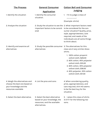| <b>The Process</b>                                                                                             | <b>General Consumer</b>                                                                                                                   | <b>Cotton Boll and Consumer</b>                                                                                                                                                                                                                                        |
|----------------------------------------------------------------------------------------------------------------|-------------------------------------------------------------------------------------------------------------------------------------------|------------------------------------------------------------------------------------------------------------------------------------------------------------------------------------------------------------------------------------------------------------------------|
|                                                                                                                | <b>Application</b>                                                                                                                        | <b>Judging</b>                                                                                                                                                                                                                                                         |
| 1. Identify the situation                                                                                      | 1. Identify the consumer<br>situation.                                                                                                    | I'm to judge a class of<br>1.                                                                                                                                                                                                                                          |
|                                                                                                                |                                                                                                                                           | (Example: shirts)                                                                                                                                                                                                                                                      |
| 2. Analyze the situation                                                                                       | 2. Study the situation to see the 2. What important factors need<br>important factors to be consid- to be considered for the con-<br>ered | sumer situation? Quality, price,<br>style, appropriateness, care<br>required, and needs of the<br>individuals are all some things<br>to think about.                                                                                                                   |
| 3. Identify and examine all<br>alternatives                                                                    | 3. Study the possible consumer 3. The alternatives for this<br>alternatives                                                               | class are 4 very similar dress<br>shirts.<br>1. 100% cotton pinpoint<br>oxford cloth; \$26.00<br>2.60% cotton, 40% polyester<br>oxford cloth; \$15.00<br>3.60% cotton, 40% polyester<br>oxford cloth; \$18.00<br>4. 65% polyester, 35% cotton<br>oxford cloth; \$11.00 |
| 4. Weigh the alternatives and<br>choose the best one based on<br>your knowledge and the<br>resources available | 4. List the pros and cons                                                                                                                 | 4. When considering quality,<br>price, appropriateness, and<br>care required, shirt #3 seems<br>to be the best buy for the<br>situation.                                                                                                                               |
| 5. Select the best alternative.                                                                                | 5. Select the best alternative<br>based on your knowledge, the<br>resources, and the available<br>alternatives.                           | 5. I place this class of shirts<br>3-2-4-1 for the following rea-<br>sons.                                                                                                                                                                                             |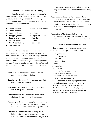### **Consider Your Options Before You Buy**

In today's society, the number of places to shop has become endless along with the variety of products one could purchase. Before making your final decision on which product and where to buy, consider these options first:

- Department Stores Discount Stores
- Classified Newspaper Ads

Garage/ Yard Sales

- Specialty Shops
- Auctions

Estate Sales

Closeout Sales

- Shopping Malls
- Secondhand Stores
	- Internet
- Mail-Order Catalogs

Factory Outlets

Home Parties

 Once you have compiled a list of places to purchase the product, it is then time to compare the different products available. An easy way to do this is to use a comparison chart. You can find a sample chart on the next page. This chart provides an easy format to use for the comparison of several products and key factors of those products, such as:

**Cost:** Cost can be compared between stores and between the product varieties.

**Quality:** How the product has been constructed, features, and accessories.

**Availability:** Is the product in stock or does it have to be special ordered?

**Discounts:** Does the store offer a discount or rebate on the purchase of this product??

- **Assembly:** Is the product ready to use or is some assembly required: are other skills or tools needed for assembly and how long will it take?
- **Warranty/Guarantee:** Is the warranty full or limited? A full warranty should always be written and covers the repair of the object with

no cost to the consumer. A limited warranty only covers certain parts listed in the warranty itself.

**Return Policy:** Does the store have a return policy? What is the return policy? Is a receipt needed or can a store credit be issued if the receipt is lost? What is the time period after a purchase in which the product can be returned?

**Reputation of the Dealer**: Is the dealer knowledgeable about the product? Is the dealer well respected within the community?

### **Sources of Information on Products**

 When comparing products, consider these sources for possible product information:

- Family/ Friends
- Product Website
- Recall Lists
- Previous reviews
- Stores
- Advertising
- Manufacturers
- Consumer Awareness website
- **•** Better Business Bureau
- Food and Drug Administration
- Reviews from previous buyers
- Consumer Product-Testing Organizations
- Seals of Approvals—such as the American Gas Association, the Association of Home Appliance Manufacturers, and Good House Keeping are given to products that meet certain criteria standards set by industries or other private organizations.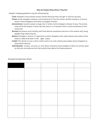### **Why Do People Shop Where They Do?**

People's shopping patterns may be influenced by:

**Time**: Shoppers may choose certain stores because they can get in and out quickly.

- **Prices**: Some shoppers choose a store because of the low prices, double coupons, or bonus bucks. These shoppers are known as bargain hunters.
- **Convenience**: Location plays a large role in where some shoppers choose to buy. The prices may not be the lowest in town, but the store is in a location that is more convenient to the consumer.
- **Service:** Courteous and friendly staff that deliver excellence service is the reason why many people shop where they do.
- **Status:** Prestige or status is important to some shoppers who need reassurance about their taste or need to be seen in the right place.
- **Credit:** The ability to use a store credit card or to cash checks persuades some shoppers to shop where they do.
- **Individuality:** Unique, unusual, or rare items influence some people to seek out certain places that are normally out but that satisfy their desire for these products.

# Sample Comparison Chart:

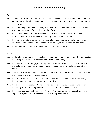# **Do's and Don't When Shopping**

### **Do's:**

- *Do* Shop around. Compare different products and services in order to find the best price. Use comparison tools online to compare items between different companies. This saves time and money.
- *Do* Research the product before you buy. Use the internet, consumer reviews, and all other available resources to find the best product for you.
- *Do* Get the facts before you buy. Read labels, seals, and instruction books. Keep the information for future reference in order to properly care for the product.
- *Do* Read and understand contracts completely. Once you sign, you are obligated to that contract. Ask questions and don't sign unless you agree with everything completely.
- *Do* Return a purchase that is damaged. That is your responsibility.

### **Don'ts:**

- *Don't* make a hasty purchase. Hasty decisions cause you to spend money you might not need or have to spend. Consider your needs and wants before buying.
- *Don't* buy the trendy or in things just to be popular. Trends end and leave you with items that are no longer popular. You will spend mega bucks on items that no longer contain any value.
- *Don't* try to Keep up with the Joneses." Purchase items that are important to you, not items that are expensive and may impress people.
- *Don't* be afraid to say no. Peer pressure or pressure from a salesperson often results in you buying things you really didn't want to begin with.
- *Don't* buy a product just because it's newer. The older version is just as good as the newer one and many times a free upgrade can be found that updates the older version.
- *Don't* buy based solely on the brand name. Sure, the Apple computer may be cool, but a less expensive laptop can be purchased that would be just as useful.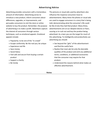# **Advertising Advice**

Advertising provides consumers with a tremendous amount of information. Advertising serves to introduce a new product, inform consumers about differences, upgrades, or improvements, and persuades consumers to visit the store or online website to buy the product. Remember, the purpose of advertising is to make a profit. Advertisers capture the interest of consumers through various techniques, such as emotional appeals. Emotional appeals include:

- Popularity: to be one of the "in crowd"
- Escape conformity: Be the real you; be unique
- Experience real life
- Save money
- Social Status
- Feel safe and secure from buying a certain product
- Support a charity
- Be trendy

The pictures or visual aids used by advertisers also influence the response consumers have to advertisements. Many times the photos or visual aids are used to engage consumers in a story that is being told, demonstrating what the consumer's life could be like *if only they had that product.* Many times, advertisements aim at our deepest desires or fears, causing us to rush out and buy the product being advertised. As a teen you are the target for much of this advertising. To intelligently and productively use advertising you should:

- See beyond the "glitz" of the advertisement and find the useful facts
- Realize that most ads list only the desirable qualities of the product and omit any additional terms, conditions, or additional accessories that the consumer may require for that product.
- Understand the reasons behind what makes an effective advertisement.

**Notes**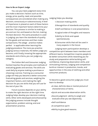### **How to Be an Expert Judge**

You use your best judgment every time you make a decision. Factors such as time, energy, price, quality, need, and possible consequences are considered when making any decision, consciously or subconsciously. A level of importance is placed on each of these factors and the most important factors determine your decision. This process is similar to making a pro and con list, and based on the list, making the best decision. The same procedure is used in judging: you learn the standards of quality for the goods and services and then make comparisons. The adage practice makes perfect is applicable when learning the judging procedure. The more you practice judging various materials, the better judge you become, until finally, knowing the appropriate standards and criteria, you can judge any category.

The Cotton Boll and Consumer Judging Contest teaches the principles and methods of evaluating goods and services. The skills are used daily by anyone making a purchase or choosing a service. Training as a consumer judge will help you become a better consumer. Evaluating goods and services, weighing the important factors, and making the right decision for you are skills that you will use for the rest of your life.

Future success depends on your ability to make the right decision at the right time. Judging helps develop your decision making skills. Other skills developed and enhanced by the judging process include thought organization, problem solving, and oral presentation practice.

Judging helps you develop:

- 1. Decision-making skills
- 2.Recognition of standards and quality
- 3.Self-confidence in oral presentations
- 4.Logical order of thoughts and reasons
- 5.Ability to think and speak spontaneously
- 6.Consumer skills that will be used in many aspects in the future

Judging team participation develops a competitive spirit between team members and different teams. Competition inspires people to be better consumers while rewarding you for study and preparation while building selfconfidence, improving observation skills, and stimulating memory. Judging and competition build an interest in production, trends, and opportunities in the area of clothing and other consumer products.

To become a good consumer judge you must learn to develop:

- A clear, definite idea or mental picture of characteristics of items.
- Quick and accurate observation skills.
- Sound judgment- ability to weigh and evaluate what you see objectively.
- Self-confidence
- A competitive spirit
- Ability to give good reasons.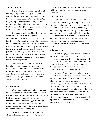# **Judging How-To**

The judging process consists of small learning stages that develop in a logical, consecutive order so that knowledge can be built on previous lessons. An important step in the judging process is envisioning an ideal product and then judging the product based on that image. Judging forces you to expand and improve your observation skills.

The basic principles of judging are the same for any item, even though the characteristics may vary by product. When judging, look for the strengths and weaknesses in each product and so you are able to spot them in future products you may judge. An able judge is always objective, never biased or prejudiced, and only considers the facts. An honest appraisal of the differences between items and a decision based on sound reasons are the heart of judging.

In judging you do your own work and learn to depend on your own judgment. Developing self-confidence is one of the most important aspects of judging. If you are confident in yourself others will be too, and you will have a stronger presentation. There are several steps in judging:

### **1. Information**

When judging, be completely informed about the product and its intended use. Learn the parts, appropriate names, and functions so that you may use them when making comparisons and presenting your findings. Understand the differences between the products, economic variations, and advantages and disadvantages of each product.

Now you're ready to begin judging a class. A class is made up of four items. A

situation statement will accompany each class and help you determine the needs of that consumer.

### **2. Observation**

Take an overall view of the class as a whole so that you can get the big picture. Look for items or characteristics that stand out. Then examine each item individually, observing them carefully, and evaluating the item on the requirements necessary to fulfill the situation of the consumer. It is important to observe if the product meets the standards set in the situation statement of the class. As you examine the items, make a mental picture of each.

### **3. Comparison**

When judging a class items, you should have five items in mind: the four class items presented to you and the ideal item described in the situation statement. Remember the most desirable features of the items you have see, then compare each item in the class to establish differences and similarities.

A class of items may be broken down several ways: an obvious top, middle pair, and bottom pair or an obvious top and bottom item. When evaluating the advantages and disadvantages, differences and similarities, all items should fall into place. When placing items, it is often easier to find the top or bottom item first. Don't place items based on small differences; look for large differences that affect cost and use. When you have selected the top item, place the others in order that they measure up to the top one.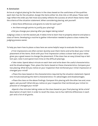# **4. Conclusion**

Arrive at a logical placing for the items in the class based on the usefulness of the qualities each item has for the situation. Assign the items either 1st, 2nd, 3rd, or 4th place. These rankings reflect the order you feel most accurately reflects the success at which these items meet the criteria of the situation statement. When considering placing, ask yourself:

- Were there differences and grants to note for each pair?
- Are there enough points to justify your placing?
- Did you change your placing after you began taking notes?

Judging a class is not the easiest job. It takes time to learn how to properly observe and place a class of items. Developing a routine to gather information needed to place a class makes the judging process easier.

To help you learn how to place a class here are some helpful ways to evaluate the items:

 First impressions are often correct. Quickly scan them items and write down your initial placement of the items. Stick with your first impression unless a closer look at your notes gives you a good reason to change the placement. If the class has an easy (close) top or bottom pair, note it and spend more time on the difficult placings.

 Take notes. Spend about minute on each item and write down the useful characteristics and the disadvantages. Then, place the items based on these characteristics. Compare your two placing. What did you notice on your inspection that reinforced your initial impression or changed your mind?

 Place the class based on the characteristics required by the situation statement. Spend one minute evaluating the item's characteristics: it's advantages and disadvantages.

 Place the class on the above findings. Compare this placing with the other two and, once again, ask yourself: What did you notice on your inspection that reinforced your initial impression or changed your mind?

Spend a few minutes taking notes on the class based on your final placing. Write a brief description of each item in order to recall the class, two to four definite differences in each pair and a list of all grants.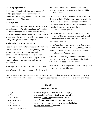# **The Judging Procedure**

Don't worry. You already know the basics of judging competition and garment item selection. This activity will help you combine these two types of knowledge.

# **Identify Class**

When you judge a class of items follow a logical sequence. What's the class you're going to judge? Once you have identified the class, consider the general characteristics of this type of garment, the places it might be worn, and the utility it might be expected to give.

# **Analyze the Situation Statement**

Read the situation statement carefully. Pick out the standards set for the class given by the statement. If cost and construction for garments aren't included in the situation statement, add them. The following are some things to look for as you read a situation statement.

Who: Age, sex, or any description of the person Use: What will the item be used for? Where will the item be worn? What will be done while wearing the garment? Features that would be needed or useful.

Care: What costs are involved? What amount of time is available? What equipment is available? What care skills does the person have? For garments: How often will care be needed based on color, how often worn, and the purpose or occasion for which it is worn?

Cost: How much money is available? A lot, not very much? Did he/she save to buy just what he or she wanted? Would he/she rather have one/ few of high quality?

Life or Wear Expectancy/Warranty/ Guarantee: Full or Limited Warranty. Fast-growing child or teenager. Invest in clothes and expect to last several seasons. Wears often.

Comfort (for clothing and shoes): Season of the year to be worn. Special needs or activities for which worn. Places or location worn.

Quality: An indicated preference for quality such as well-made, durable, etc.

Pretend you are judging a class of men's dress shirts. Here is a sample situation statement. Notice how information has been identified, giving standards by which you can evaluate the class.

# **CLASS 1**

### **Men's Dress Shirt**

|--|--|

- 
- 
- 
- 
- Warm/hot Weather

1. Age Rob is a **<sup>1</sup> high school student.** He is buying 2. Use a dress shirt to **<sup>2</sup>wear with his new suit.** He 3. Value for \$ wants a **<sup>3</sup> good buy** for his money. But the 4. Appearance shirt **<sup>4</sup>must look good**. Rob wants a **<sup>5</sup> easy to**  5. Care **care for** shirt that is **<sup>6</sup> cool and comfortable for** 6. Comfort in **spring and summer** weather.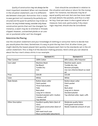*Quality of construction* may not always be the most important standard. When not mentioned in the situation statement, use it to differentiate between close pair. *Remember that a readyto-wear garment isn't necessarily the perfectly constructed and the quest for perfection may hinder selection.* On very limited money, consider only those construction points that can't be changed. For instance, a seam may be re-stitched or threads clipped. However, unmatched plaids or an uneven or puckered collar can't be changed.

Cost should be considered in relation to the situation and value or return for the money spent. For instance, two blouses may be of equal quality and cost, but one has more needed style details like pockets, and thus is a better buy. Cost-per-wear is also a good value of measure. Care cost, particularly if dry cleaningis required, should also be considered.

### **Determine the Placing**

Use the situation statement and your knowledge of clothing or consumer items to decide how you would place the class. Sometimes it's easy to pick the top item first. At other times, you might identify the lowest placed item quickly. Compare each item to the standards set in the situation statement. This is Step 4 of the decision-making process. Here's what you can observe about the four men's dress shirts in our example.

|                      | Garment #1                                                                                                                                                              | Garment #2                                                                                                                               |
|----------------------|-------------------------------------------------------------------------------------------------------------------------------------------------------------------------|------------------------------------------------------------------------------------------------------------------------------------------|
| <b>Fiber Content</b> | 100% Cotton                                                                                                                                                             | 60% Cotton, 40% Polyester                                                                                                                |
| Care Label           | Machine Wash<br>No Bleach<br>Tumble Dry<br>Iron                                                                                                                         | Machine wash, warm<br>Tumble dry, low<br>Remove promptly<br>Use non-chlorine bleach as need-<br>ed                                       |
| Price                | \$26.00                                                                                                                                                                 | \$15.00                                                                                                                                  |
| Color                | White                                                                                                                                                                   | White                                                                                                                                    |
| <b>Style Details</b> | Button-down collar<br>Patch pocket<br>Three-hole button<br>Yoke<br>Back pleat<br>Long set-in sleeves<br>Standard placket with 1 button<br>1-button cuff<br>Top stitched | Button-down collar<br>Patch pocket<br>Yoke<br>Back pleat<br>Long set-in sleeves<br>Standard placket<br>Top stitched collar, lapel, cuffs |
| Other Description    | Excellent quality fabric (best of<br>class)<br>Very good construction (best of<br>class)<br>Will need much care<br>Most comfortable (absorbent)                         | Moderate quality fabric<br>Fairly good construction<br>Needs moderate amount of care                                                     |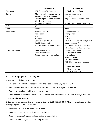|                          | Garment #3                           | Garment #4                           |
|--------------------------|--------------------------------------|--------------------------------------|
| <b>Fiber Content</b>     | 60% Cotton, 40% Polyester            | 65% Polyester, 35% Cotton            |
| Care Label               | Machine wash, warm gentle cycle      | Machine wash, warm                   |
|                          | Whites bleach when needed            | Tumble dry                           |
|                          | Colors/stripes only non-chlorine     | Only non-chlorine bleach when        |
|                          | bleach when needed                   | needed                               |
|                          | Tumble dry, medium                   | Touch-up ironing may be required     |
| Price                    | \$18.00                              | \$11.00                              |
| Color                    | White                                | White                                |
| <b>Style Details</b>     | Button-down collar                   | Button-down collar                   |
|                          | Patch pocket                         | Patch pocket                         |
|                          | Yoke                                 | Yoke                                 |
|                          | Back pleat                           | Back pleat                           |
|                          | Set-in sleeve with cuff              | Set-in sleeves with cuff and placket |
|                          | Double button cuff                   | Double button cuff                   |
|                          | Top stitched collar, cuffs, plackets | Top stitched collar, front placket,  |
|                          |                                      | cuff and standard sleeve placket     |
| <b>Other Description</b> | Good quality fabric                  | Poorest quality fabric               |
|                          | Good construction                    | Poorest construction                 |
|                          | Needs moderate amount of care        | Stitched long                        |
|                          |                                      | Seams not smooth                     |
|                          |                                      | Easiest to care for                  |
|                          |                                      | With 65% polyester will probably     |
|                          |                                      | be:                                  |
|                          |                                      | Least absorbent                      |
|                          |                                      | Thus hot to wear                     |
|                          |                                      | Most likely to pill                  |

# **Mark the Judging Contest Placing Sheet**

When you decided on the placing:

- Find the section that corresponds with the class you are judging (1, 2, 3, 4)
- Find the section that begins with the number of the garment you placed first.
- Then, find the placing of the other garments.
- Example: You placed the shirts 3-2-4-1. Find the combination of 3-2-4-1 and circle your choice

### **Prepare and Give Reasons**

Giving reasons for your decisions is an important part of CLOTHING JUDGING. When you explain your placing, you're giving reasons. You will need to

- Have a clear picture of the entire class in mind.
- Know the qualities or standards for the judged class.
- Be able to compare the good and poor points for each choice.
- Make notes and study them before giving reasons.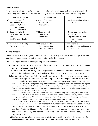# **Making Notes**

Your reasons will be easier to develop if you follow an orderly system. Begin by making good notes. They should be short, simple, and easy to use. Here is an example that will help you.

| <b>Reasons for Placing</b>    | <b>Admit or Grant</b>    | <b>Faults</b>                      |
|-------------------------------|--------------------------|------------------------------------|
| 3/2 Good quality for \$.      | 2/3 Same fiber content.  | Moderate quality, fabric, and<br>2 |
| Easy enough to care for.      | Similar care.            | construction.                      |
| Good quality fabric.          | Cost \$3 less.           |                                    |
| Good construction.            |                          |                                    |
| Good features/details.        |                          |                                    |
| 2/4 Good quality for \$.      | 4/2 Least expensive.     | Needs touch-up ironing.<br>4       |
| Fairly good construction &    | Good value.              | Poor construction.                 |
| fabric.                       | Easiest care.            | High polyester content.            |
| Good features/ details.       |                          | Not/non-absorbent                  |
|                               |                          | May pill                           |
| 4/1 More in line with budget. | 1/4 Best quality fabric. | 4 Too expensive.                   |
| Easiest to care for.          | Best construction.       | Must be starched and ironed or     |
|                               | Most comfortable.        | sent to laundry.                   |

# **Giving Reasons**

There's a basic format for giving reasons. The format helps you organize your thoughts for presenting reasons and helps the person listening to the reasons.

The following four steps will help you to plan your reasons.

- **1. Opening Statement:** Give the name of the class and order of placing. *Example:* I placed this class of dress shirts 3-2-1-4.
- **2. General Statement:** Give a general impression of the class. *Exam ple:* "This was a somewhat difficult class to judge, with a close middle pair and an obvious bottom shirt.
- **3. Explanation of Reasons:** Tell why one choice was placed over the next by comparison. Explain the major differences between the top pair, the middle pair, and the bottom pair.

*Example*: I place 3 over 2 and at the top of the class for its overall good quality for the price. Both fabric and construction are of good quality. It meets the easy care requirements for Rob and will have good appearance with the suit. Style features and details are typical of a dress shirt. I admit that 2 had the same fiber content and similar care instructions. It also cost three dollars less. However, I fault 2 for lacking the quality fabric and construction details of shirt 3."

In the middle pair, I place 2 over 4 because the overall quality is better. In general appearance, fabric and construction, it is superior to shirt 4. Granted, shirt 4 is the least expensive, a good value for the money and easy to care for. I fault it for having poor quality fabric, poor construction, and general appearance. The high polyester content will make it hot to wear and could result in pilling.

I place 4 over 1 because the price, \$11, is more in line with the budget and the high polyester fabric content makes it easier to care for. I grant that shirt number 1 is the best quality, best construction, and with 100% cotton fiber content the most comfortable to wear in warm or hot weather. I fault shirt 1 because of the high cost, even on sale, and the care required. 100% cotton needs starching and ironing or commercial laundry care. Price and easy care were important to Rob.

**4. Closing Statement:** Repeat the opening statement, but begin with therefore or for these reasons. Example: Therefore, I placed this class of dress shirts 3-2-4-1.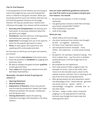### **Tips for Oral Reasons**

In the preparation of oral reasons, you are trying to inform the judge that you saw and analyzed the items in relation to the given situation. When you are being scored on your oral reasons what you say will have the greatest influence on the judge. However, the way you present your reasons also influences the judge. Your reasons will be scored on:

- **Accuracy and Completeness:** the placing and facts given. An accurate statement about the garments you judged.
- **Confidence:** used the decision-making process and believe your placing is correct.
- **Experience:** knowledge and use of the specific terms for the specific garments or items.
- **Poise:** at ease, good use of grammar and speaking skills, wide awake and alert.

For the class on which you are to give oral reasons, you should:

- Have in mind a **clear picture** of the entire class.
- Know the qualities or **standards** for judging that particular class.
- BE able to compare the good and poor **qualities** of each garment/item.
- Make **notes** and study them ahead of time. (DO NOT READ YOUR NOTES.)

## **Remember, the basic format for giving oral reasons is:**

- **Opening Statement**
- **General Statement**
- **Explanation of Reasons:** choice was placed over the next by comparison. Explain the major differences between the top pair, middle pair, and the bottom pair.
- **Closing Statement:** repeat the opening statement, but begin with therefore or for these reasons.

# **Here are some additional guidelines and terms you may find useful as you prepare and give your oral reasons. You should**:

- Be serious but pleasant. A smile is always welcomed.
- Use good posture. Stand on both feet and keep your hands relaxed DON'T FIDGET!
- Have confidence in yourself
- Look at the judge.

# **What you say:**

- Speak clearly and convincingly.
- Use short sentences that contain one thought. Do NOT run together sentences.
- Put them most important reason first.
- Use comparative terms. Example: more, 'better, less expensive, or some words ending in er.
- Be specific. For example, instead of saying, This shirt is better than, say This shirt is of better quality because it will last longer due to its durability.
- Be complete but not repetitious.
- Don't skip around. Follow a logical order. For example, on shirts—start at the collar, then move on to the shoulder seams, down to the sleeves, buttons, and hem. This is starting at the top of the shirt and moving downward.
- After giving reasons for your placement, admit the advantages of the lesser desired garment. Use words such as: I grant, I admit, I acknowledge, I recognize, concede, and on the other hand."
- The term today' is often used in livestock judging. It is not appropriate for clothing. Animals may change from day to day, but clothing items don't.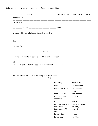Following this pattern, a sample class of reasons should be:

| because 1 is                                                 |  |
|--------------------------------------------------------------|--|
| I grant 2 is                                                 |  |
|                                                              |  |
|                                                              |  |
| In the middle pair, I placed 2 over 3 since 2 is             |  |
| --------------------------------<br>2 is                     |  |
| I fault 3 for                                                |  |
| _______________________than 2.                               |  |
| Moving to my bottom pair I placed 3 over 4 because 3 is      |  |
|                                                              |  |
| I placed 4 last and at the bottom of the class because it is |  |
|                                                              |  |

For these reasons ( or therefore) I place this class of

\_\_\_\_\_\_\_\_\_\_\_\_\_\_\_\_\_\_\_\_\_\_\_\_ 1-2-3-4."

| Don't Say            | <b>Instead Use</b> |
|----------------------|--------------------|
| Item                 | Specific Name      |
| I would like to see  | Lcriticize 2 be-   |
|                      | cause              |
| Kinds of; types      | Item number        |
| Number 2 over        | 2 over 1           |
| number 1             |                    |
| It                   | Item Number        |
| Lacks, an item lacks | The item is (point |
| something            | out fault)         |
| In the order of 2    | 2 over 1           |
| over 1               |                    |
| I am placing         | I place            |
| I am criticizing     | I criticize        |